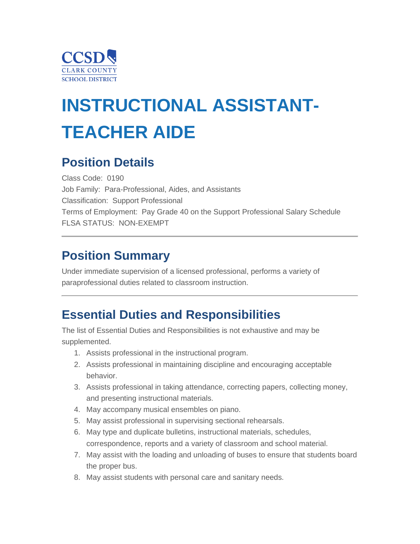

# **INSTRUCTIONAL ASSISTANT-TEACHER AIDE**

## **Position Details**

Class Code: 0190 Job Family: Para-Professional, Aides, and Assistants Classification: Support Professional Terms of Employment: Pay Grade 40 on the Support Professional Salary Schedule FLSA STATUS: NON-EXEMPT

## **Position Summary**

Under immediate supervision of a licensed professional, performs a variety of paraprofessional duties related to classroom instruction.

## **Essential Duties and Responsibilities**

The list of Essential Duties and Responsibilities is not exhaustive and may be supplemented.

- 1. Assists professional in the instructional program.
- 2. Assists professional in maintaining discipline and encouraging acceptable behavior.
- 3. Assists professional in taking attendance, correcting papers, collecting money, and presenting instructional materials.
- 4. May accompany musical ensembles on piano.
- 5. May assist professional in supervising sectional rehearsals.
- 6. May type and duplicate bulletins, instructional materials, schedules, correspondence, reports and a variety of classroom and school material.
- 7. May assist with the loading and unloading of buses to ensure that students board the proper bus.
- 8. May assist students with personal care and sanitary needs.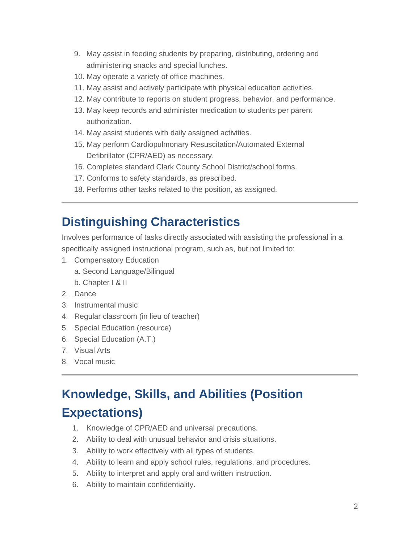- 9. May assist in feeding students by preparing, distributing, ordering and administering snacks and special lunches.
- 10. May operate a variety of office machines.
- 11. May assist and actively participate with physical education activities.
- 12. May contribute to reports on student progress, behavior, and performance.
- 13. May keep records and administer medication to students per parent authorization.
- 14. May assist students with daily assigned activities.
- 15. May perform Cardiopulmonary Resuscitation/Automated External Defibrillator (CPR/AED) as necessary.
- 16. Completes standard Clark County School District/school forms.
- 17. Conforms to safety standards, as prescribed.
- 18. Performs other tasks related to the position, as assigned.

## **Distinguishing Characteristics**

Involves performance of tasks directly associated with assisting the professional in a specifically assigned instructional program, such as, but not limited to:

- 1. Compensatory Education
	- a. Second Language/Bilingual
	- b. Chapter I & II
- 2. Dance
- 3. Instrumental music
- 4. Regular classroom (in lieu of teacher)
- 5. Special Education (resource)
- 6. Special Education (A.T.)
- 7. Visual Arts
- 8. Vocal music

# **Knowledge, Skills, and Abilities (Position Expectations)**

- 1. Knowledge of CPR/AED and universal precautions.
- 2. Ability to deal with unusual behavior and crisis situations.
- 3. Ability to work effectively with all types of students.
- 4. Ability to learn and apply school rules, regulations, and procedures.
- 5. Ability to interpret and apply oral and written instruction.
- 6. Ability to maintain confidentiality.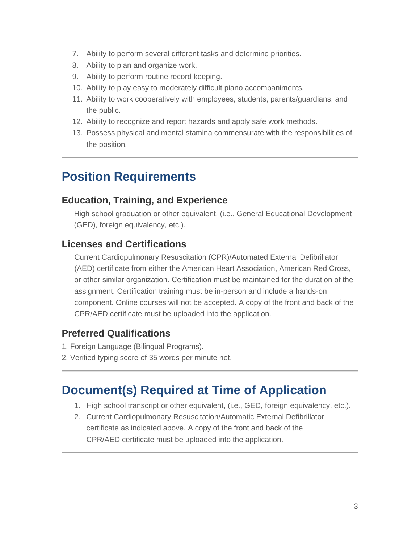- 7. Ability to perform several different tasks and determine priorities.
- 8. Ability to plan and organize work.
- 9. Ability to perform routine record keeping.
- 10. Ability to play easy to moderately difficult piano accompaniments.
- 11. Ability to work cooperatively with employees, students, parents/guardians, and the public.
- 12. Ability to recognize and report hazards and apply safe work methods.
- 13. Possess physical and mental stamina commensurate with the responsibilities of the position.

## **Position Requirements**

#### **Education, Training, and Experience**

High school graduation or other equivalent, (i.e., General Educational Development (GED), foreign equivalency, etc.).

#### **Licenses and Certifications**

 Current Cardiopulmonary Resuscitation (CPR)/Automated External Defibrillator (AED) certificate from either the American Heart Association, American Red Cross, or other similar organization. Certification must be maintained for the duration of the assignment. Certification training must be in-person and include a hands-on component. Online courses will not be accepted. A copy of the front and back of the CPR/AED certificate must be uploaded into the application.

#### **Preferred Qualifications**

- 1. Foreign Language (Bilingual Programs).
- 2. Verified typing score of 35 words per minute net.

## **Document(s) Required at Time of Application**

- 1. High school transcript or other equivalent, (i.e., GED, foreign equivalency, etc.).
- 2. Current Cardiopulmonary Resuscitation/Automatic External Defibrillator certificate as indicated above. A copy of the front and back of the CPR/AED certificate must be uploaded into the application.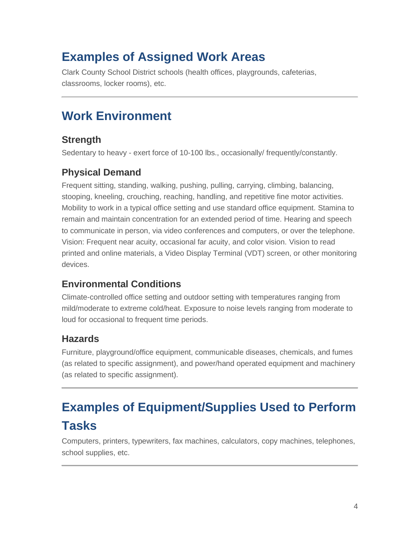## **Examples of Assigned Work Areas**

Clark County School District schools (health offices, playgrounds, cafeterias, classrooms, locker rooms), etc.

## **Work Environment**

#### **Strength**

Sedentary to heavy - exert force of 10-100 lbs., occasionally/ frequently/constantly.

## **Physical Demand**

Frequent sitting, standing, walking, pushing, pulling, carrying, climbing, balancing, stooping, kneeling, crouching, reaching, handling, and repetitive fine motor activities. Mobility to work in a typical office setting and use standard office equipment. Stamina to remain and maintain concentration for an extended period of time. Hearing and speech to communicate in person, via video conferences and computers, or over the telephone. Vision: Frequent near acuity, occasional far acuity, and color vision. Vision to read printed and online materials, a Video Display Terminal (VDT) screen, or other monitoring devices.

## **Environmental Conditions**

Climate-controlled office setting and outdoor setting with temperatures ranging from mild/moderate to extreme cold/heat. Exposure to noise levels ranging from moderate to loud for occasional to frequent time periods.

#### **Hazards**

Furniture, playground/office equipment, communicable diseases, chemicals, and fumes (as related to specific assignment), and power/hand operated equipment and machinery (as related to specific assignment).

# **Examples of Equipment/Supplies Used to Perform Tasks**

Computers, printers, typewriters, fax machines, calculators, copy machines, telephones, school supplies, etc.